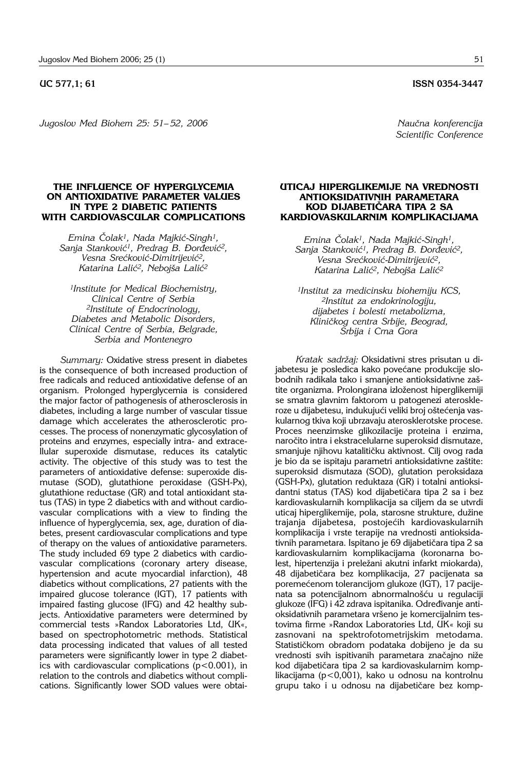## **UC 577,1; 61 ISSN 0354-3447**

*Jugoslov Med Biohem 25: 51-52, 2006* Magnetic Magnetic Management in the Naučna konferencija

**THE INFLUENCE OF HYPERGLYCEMIA ON ANTIOXIDATIVE PARAMETER VALUES IN TYPE 2 DIABETIC PATIENTS WITH CARDIOVASCULAR COMPLICATIONS**

*Emina ^olak1, Nada Majki}*-*Singh1,*  Sanja Stanković<sup>1</sup>, Predrag B. Đorđević<sup>2</sup>, *Vesna Sre}kovi}*-*Dimitrijevi}2,*  Katarina Lalić<sup>2</sup>, Nebojša Lalić<sup>2</sup>

*1Institute for Medical Biochemistry, Clinical Centre of Serbia 2Institute of Endocrinology, Diabetes and Metabolic Disorders, Clinical Centre of Serbia, Belgrade, Serbia and Montenegro*

*Summary:* Oxidative stress present in diabetes is the consequence of both increased production of free radicals and reduced antioxidative defense of an organism. Prolonged hyperglycemia is considered the major factor of pathogenesis of atherosclerosis in diabetes, including a large number of vascular tissue damage which accelerates the atherosclerotic processes. The process of nonenzymatic glycosylation of proteins and enzymes, especially intra- and extracellular superoxide dismutase, reduces its catalytic activity. The objective of this study was to test the parameters of antioxidative defense: superoxide dismutase (SOD), glutathione peroxidase (GSH-Px), glutathione reductase (GR) and total antioxidant status (TAS) in type 2 diabetics with and without cardiovascular complications with a view to finding the influence of hyperglycemia, sex, age, duration of diabetes, present cardiovascular complications and type of therapy on the values of antioxidative parameters. The study included 69 type 2 diabetics with cardiovascular complications (coronary artery disease, hypertension and acute myocardial infarction), 48 diabetics without complications, 27 patients with the impaired glucose tolerance (IGT), 17 patients with impaired fasting glucose (IFG) and 42 healthy subjects. Antioxidative parameters were determined by commercial tests »Randox Laboratories Ltd, UK«, based on spectrophotometric methods. Statistical data processing indicated that values of all tested parameters were significantly lower in type 2 diabetics with cardiovascular complications  $(p<0.001)$ , in relation to the controls and diabetics without complications. Significantly lower SOD values were obtai-

## *Scientific Conference*

## **UTICAJ HIPERGLIKEMIJE NA VREDNOSTI ANTIOKSIDATIVNIH PARAMETARA KOD DIJABETI^ARA TIPA 2 SA KARDIOVASKULARNIM KOMPLIKACIJAMA**

*Emina ^olak1, Nada Majki}*-*Singh1,*  Sanja Stanković<sup>1</sup>, Predrag B. Đorđević<sup>2</sup>, *Vesna Sre}kovi}*-*Dimitrijevi}2,*  Katarina Lalić<sup>2</sup>, Nebojša Lalić<sup>2</sup>

*1Institut za medicinsku biohemiju KCS, 2Institut za endokrinologiju, dijabetes i bolesti metabolizma, Klini~kog centra Srbije, Beograd, Srbija i Crna Gora*

Kratak sadržaj: Oksidativni stres prisutan u dijabetesu je posledica kako povećane produkcije slobodnih radikala tako i smanjene antioksidativne zaštite organizma. Prolongirana izloženost hiperglikemiji se smatra glavnim faktorom u patogenezi ateroskleroze u dijabetesu, indukujući veliki broj oštećenja vaskularnog tkiva koji ubrzavaju aterosklerotske procese. Proces neenzimske glikozilacije proteina i enzima, naročito intra i ekstracelularne superoksid dismutaze, smanjuje njihovu katalitičku aktivnost. Cilj ovog rada je bio da se ispitaju parametri antioksidativne zaštite: superoksid dismutaza (SOD), glutation peroksidaza (GSH-Px), glutation reduktaza (GR) i totalni antioksidantni status (TAS) kod dijabetičara tipa 2 sa i bez kardiovaskularnih komplikacija sa ciljem da se utvrdi uticaj hiperglikemije, pola, starosne strukture, dužine trajanja dijabetesa, postojećih kardiovaskularnih komplikacija i vrste terapije na vrednosti antioksidativnih parametara. Ispitano je 69 dijabetičara tipa 2 sa kardiovaskularnim komplikacijama (koronarna bolest, hipertenzija i preležani akutni infarkt miokarda), 48 dijabetičara bez komplikacija, 27 pacijenata sa poremećenom tolerancijom glukoze (IGT), 17 pacijenata sa potencijalnom abnormalnošću u regulaciji glukoze (IFG) i 42 zdrava ispitanika. Određivanje antioksidativnih parametara vršeno je komercijalnim testovima firme »Randox Laboratories Ltd, UK« koji su zasnovani na spektrofotometrijskim metodama. Statističkom obradom podataka dobijeno je da su vrednosti svih ispitivanih parametara značajno niže kod dijabetičara tipa 2 sa kardiovaskularnim komplikacijama (p<0,001), kako u odnosu na kontrolnu grupu tako i u odnosu na dijabetičare bez komp